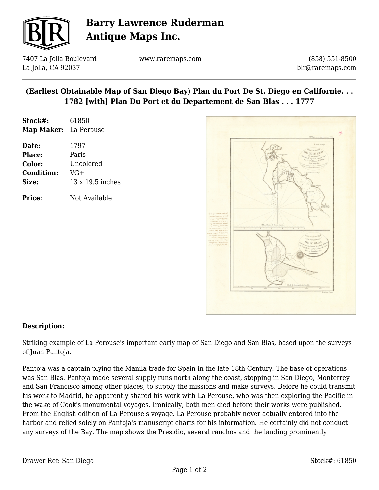

# **Barry Lawrence Ruderman Antique Maps Inc.**

7407 La Jolla Boulevard La Jolla, CA 92037

www.raremaps.com

(858) 551-8500 blr@raremaps.com

### **(Earliest Obtainable Map of San Diego Bay) Plan du Port De St. Diego en Californie. . . 1782 [with] Plan Du Port et du Departement de San Blas . . . 1777**

| Stock#:                      | 61850            |
|------------------------------|------------------|
| <b>Map Maker:</b> La Perouse |                  |
| Date:                        | 1797             |
| Place:                       | Paris            |
| Color:                       | Uncolored        |
| <b>Condition:</b>            | $VG+$            |
| Size:                        | 13 x 19.5 inches |
|                              |                  |

**Price:** Not Available



#### **Description:**

Striking example of La Perouse's important early map of San Diego and San Blas, based upon the surveys of Juan Pantoja.

Pantoja was a captain plying the Manila trade for Spain in the late 18th Century. The base of operations was San Blas. Pantoja made several supply runs north along the coast, stopping in San Diego, Monterrey and San Francisco among other places, to supply the missions and make surveys. Before he could transmit his work to Madrid, he apparently shared his work with La Perouse, who was then exploring the Pacific in the wake of Cook's monumental voyages. Ironically, both men died before their works were published. From the English edition of La Perouse's voyage. La Perouse probably never actually entered into the harbor and relied solely on Pantoja's manuscript charts for his information. He certainly did not conduct any surveys of the Bay. The map shows the Presidio, several ranchos and the landing prominently